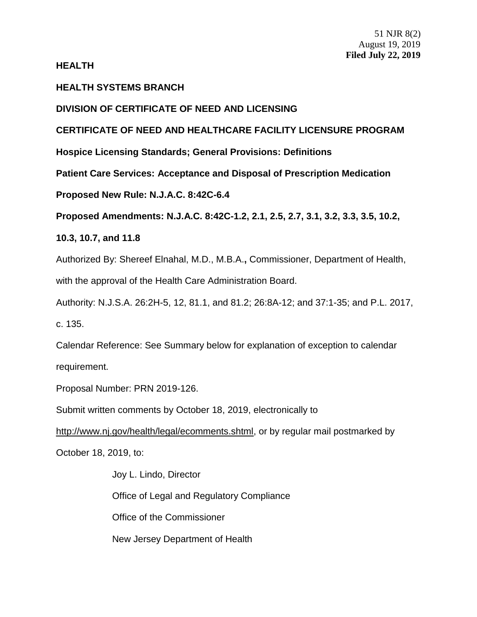# **HEALTH**

# **HEALTH SYSTEMS BRANCH**

# **DIVISION OF CERTIFICATE OF NEED AND LICENSING**

# **CERTIFICATE OF NEED AND HEALTHCARE FACILITY LICENSURE PROGRAM**

**Hospice Licensing Standards; General Provisions: Definitions**

**Patient Care Services: Acceptance and Disposal of Prescription Medication**

**Proposed New Rule: N.J.A.C. 8:42C-6.4**

**Proposed Amendments: N.J.A.C. 8:42C-1.2, 2.1, 2.5, 2.7, 3.1, 3.2, 3.3, 3.5, 10.2,** 

**10.3, 10.7, and 11.8**

Authorized By: Shereef Elnahal, M.D., M.B.A.**,** Commissioner, Department of Health, with the approval of the Health Care Administration Board.

Authority: N.J.S.A. 26:2H-5, 12, 81.1, and 81.2; 26:8A-12; and 37:1-35; and P.L. 2017, c. 135.

Calendar Reference: See Summary below for explanation of exception to calendar requirement.

Proposal Number: PRN 2019-126.

Submit written comments by October 18, 2019, electronically to

http://www.nj.gov/health/legal/ecomments.shtml, or by regular mail postmarked by

October 18, 2019, to:

Joy L. Lindo, Director Office of Legal and Regulatory Compliance Office of the Commissioner New Jersey Department of Health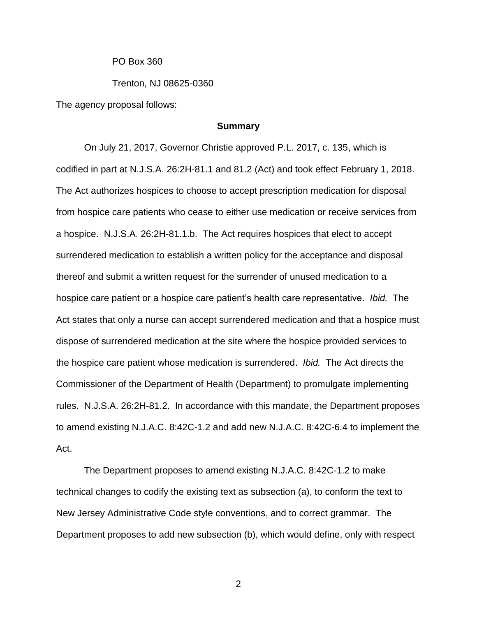PO Box 360

Trenton, NJ 08625-0360

The agency proposal follows:

## **Summary**

On July 21, 2017, Governor Christie approved P.L. 2017, c. 135, which is codified in part at N.J.S.A. 26:2H-81.1 and 81.2 (Act) and took effect February 1, 2018. The Act authorizes hospices to choose to accept prescription medication for disposal from hospice care patients who cease to either use medication or receive services from a hospice. N.J.S.A. 26:2H-81.1.b. The Act requires hospices that elect to accept surrendered medication to establish a written policy for the acceptance and disposal thereof and submit a written request for the surrender of unused medication to a hospice care patient or a hospice care patient's health care representative. *Ibid.* The Act states that only a nurse can accept surrendered medication and that a hospice must dispose of surrendered medication at the site where the hospice provided services to the hospice care patient whose medication is surrendered. *Ibid.* The Act directs the Commissioner of the Department of Health (Department) to promulgate implementing rules. N.J.S.A. 26:2H-81.2. In accordance with this mandate, the Department proposes to amend existing N.J.A.C. 8:42C-1.2 and add new N.J.A.C. 8:42C-6.4 to implement the Act.

The Department proposes to amend existing N.J.A.C. 8:42C-1.2 to make technical changes to codify the existing text as subsection (a), to conform the text to New Jersey Administrative Code style conventions, and to correct grammar. The Department proposes to add new subsection (b), which would define, only with respect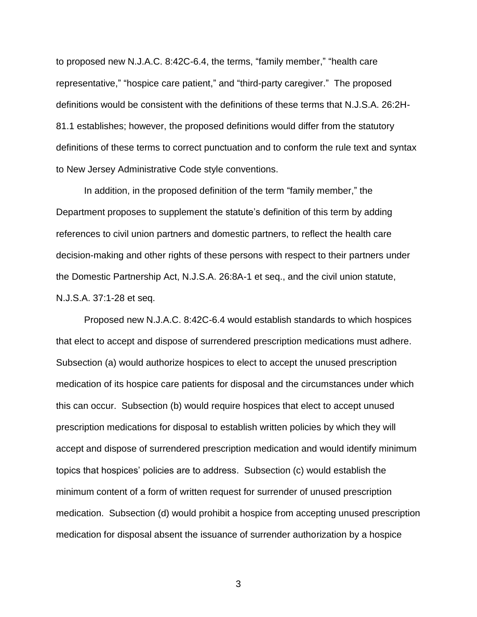to proposed new N.J.A.C. 8:42C-6.4, the terms, "family member," "health care representative," "hospice care patient," and "third-party caregiver." The proposed definitions would be consistent with the definitions of these terms that N.J.S.A. 26:2H-81.1 establishes; however, the proposed definitions would differ from the statutory definitions of these terms to correct punctuation and to conform the rule text and syntax to New Jersey Administrative Code style conventions.

In addition, in the proposed definition of the term "family member," the Department proposes to supplement the statute's definition of this term by adding references to civil union partners and domestic partners, to reflect the health care decision-making and other rights of these persons with respect to their partners under the Domestic Partnership Act, N.J.S.A. 26:8A-1 et seq., and the civil union statute, N.J.S.A. 37:1-28 et seq.

Proposed new N.J.A.C. 8:42C-6.4 would establish standards to which hospices that elect to accept and dispose of surrendered prescription medications must adhere. Subsection (a) would authorize hospices to elect to accept the unused prescription medication of its hospice care patients for disposal and the circumstances under which this can occur. Subsection (b) would require hospices that elect to accept unused prescription medications for disposal to establish written policies by which they will accept and dispose of surrendered prescription medication and would identify minimum topics that hospices' policies are to address. Subsection (c) would establish the minimum content of a form of written request for surrender of unused prescription medication. Subsection (d) would prohibit a hospice from accepting unused prescription medication for disposal absent the issuance of surrender authorization by a hospice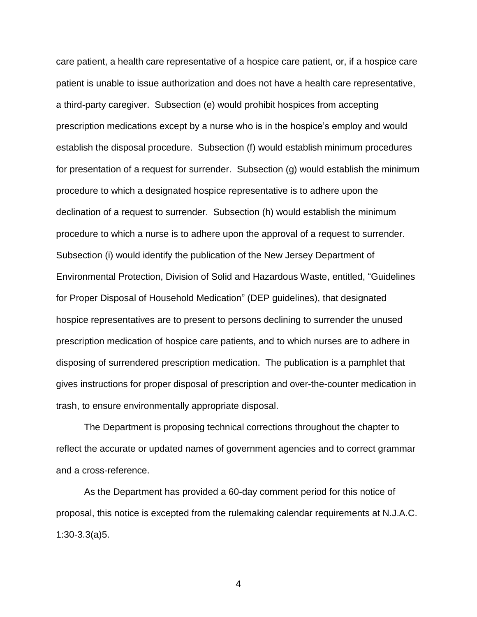care patient, a health care representative of a hospice care patient, or, if a hospice care patient is unable to issue authorization and does not have a health care representative, a third-party caregiver. Subsection (e) would prohibit hospices from accepting prescription medications except by a nurse who is in the hospice's employ and would establish the disposal procedure. Subsection (f) would establish minimum procedures for presentation of a request for surrender. Subsection (g) would establish the minimum procedure to which a designated hospice representative is to adhere upon the declination of a request to surrender. Subsection (h) would establish the minimum procedure to which a nurse is to adhere upon the approval of a request to surrender. Subsection (i) would identify the publication of the New Jersey Department of Environmental Protection, Division of Solid and Hazardous Waste, entitled, "Guidelines for Proper Disposal of Household Medication" (DEP guidelines), that designated hospice representatives are to present to persons declining to surrender the unused prescription medication of hospice care patients, and to which nurses are to adhere in disposing of surrendered prescription medication. The publication is a pamphlet that gives instructions for proper disposal of prescription and over-the-counter medication in trash, to ensure environmentally appropriate disposal.

The Department is proposing technical corrections throughout the chapter to reflect the accurate or updated names of government agencies and to correct grammar and a cross-reference.

As the Department has provided a 60-day comment period for this notice of proposal, this notice is excepted from the rulemaking calendar requirements at N.J.A.C. 1:30-3.3(a)5.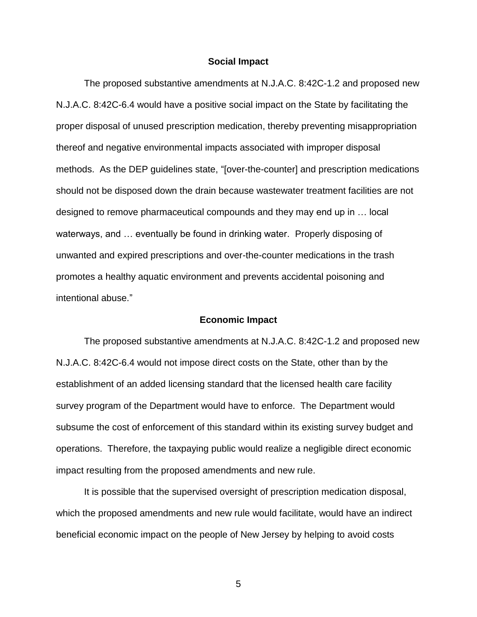#### **Social Impact**

The proposed substantive amendments at N.J.A.C. 8:42C-1.2 and proposed new N.J.A.C. 8:42C-6.4 would have a positive social impact on the State by facilitating the proper disposal of unused prescription medication, thereby preventing misappropriation thereof and negative environmental impacts associated with improper disposal methods. As the DEP guidelines state, "[over-the-counter] and prescription medications should not be disposed down the drain because wastewater treatment facilities are not designed to remove pharmaceutical compounds and they may end up in … local waterways, and … eventually be found in drinking water. Properly disposing of unwanted and expired prescriptions and over-the-counter medications in the trash promotes a healthy aquatic environment and prevents accidental poisoning and intentional abuse."

#### **Economic Impact**

The proposed substantive amendments at N.J.A.C. 8:42C-1.2 and proposed new N.J.A.C. 8:42C-6.4 would not impose direct costs on the State, other than by the establishment of an added licensing standard that the licensed health care facility survey program of the Department would have to enforce. The Department would subsume the cost of enforcement of this standard within its existing survey budget and operations. Therefore, the taxpaying public would realize a negligible direct economic impact resulting from the proposed amendments and new rule.

It is possible that the supervised oversight of prescription medication disposal, which the proposed amendments and new rule would facilitate, would have an indirect beneficial economic impact on the people of New Jersey by helping to avoid costs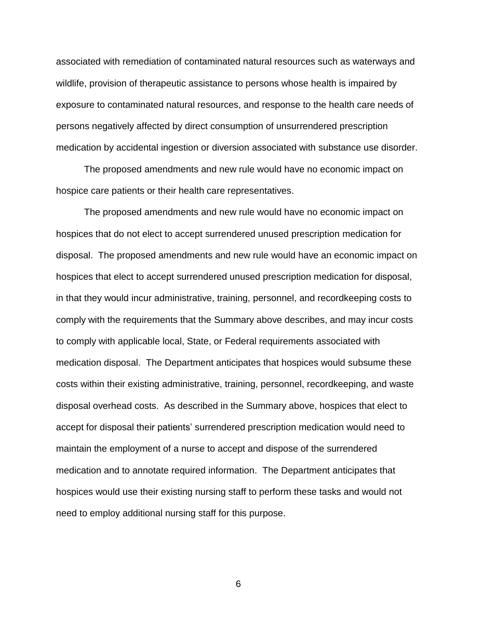associated with remediation of contaminated natural resources such as waterways and wildlife, provision of therapeutic assistance to persons whose health is impaired by exposure to contaminated natural resources, and response to the health care needs of persons negatively affected by direct consumption of unsurrendered prescription medication by accidental ingestion or diversion associated with substance use disorder.

The proposed amendments and new rule would have no economic impact on hospice care patients or their health care representatives.

The proposed amendments and new rule would have no economic impact on hospices that do not elect to accept surrendered unused prescription medication for disposal. The proposed amendments and new rule would have an economic impact on hospices that elect to accept surrendered unused prescription medication for disposal, in that they would incur administrative, training, personnel, and recordkeeping costs to comply with the requirements that the Summary above describes, and may incur costs to comply with applicable local, State, or Federal requirements associated with medication disposal. The Department anticipates that hospices would subsume these costs within their existing administrative, training, personnel, recordkeeping, and waste disposal overhead costs. As described in the Summary above, hospices that elect to accept for disposal their patients' surrendered prescription medication would need to maintain the employment of a nurse to accept and dispose of the surrendered medication and to annotate required information. The Department anticipates that hospices would use their existing nursing staff to perform these tasks and would not need to employ additional nursing staff for this purpose.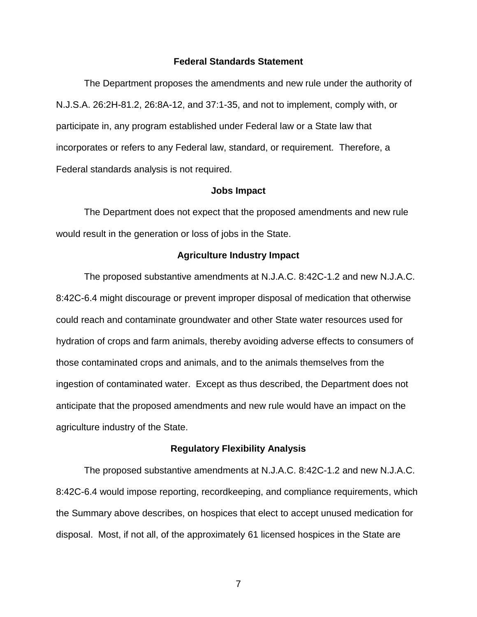## **Federal Standards Statement**

The Department proposes the amendments and new rule under the authority of N.J.S.A. 26:2H-81.2, 26:8A-12, and 37:1-35, and not to implement, comply with, or participate in, any program established under Federal law or a State law that incorporates or refers to any Federal law, standard, or requirement. Therefore, a Federal standards analysis is not required.

#### **Jobs Impact**

The Department does not expect that the proposed amendments and new rule would result in the generation or loss of jobs in the State.

## **Agriculture Industry Impact**

The proposed substantive amendments at N.J.A.C. 8:42C-1.2 and new N.J.A.C. 8:42C-6.4 might discourage or prevent improper disposal of medication that otherwise could reach and contaminate groundwater and other State water resources used for hydration of crops and farm animals, thereby avoiding adverse effects to consumers of those contaminated crops and animals, and to the animals themselves from the ingestion of contaminated water. Except as thus described, the Department does not anticipate that the proposed amendments and new rule would have an impact on the agriculture industry of the State.

#### **Regulatory Flexibility Analysis**

The proposed substantive amendments at N.J.A.C. 8:42C-1.2 and new N.J.A.C. 8:42C-6.4 would impose reporting, recordkeeping, and compliance requirements, which the Summary above describes, on hospices that elect to accept unused medication for disposal. Most, if not all, of the approximately 61 licensed hospices in the State are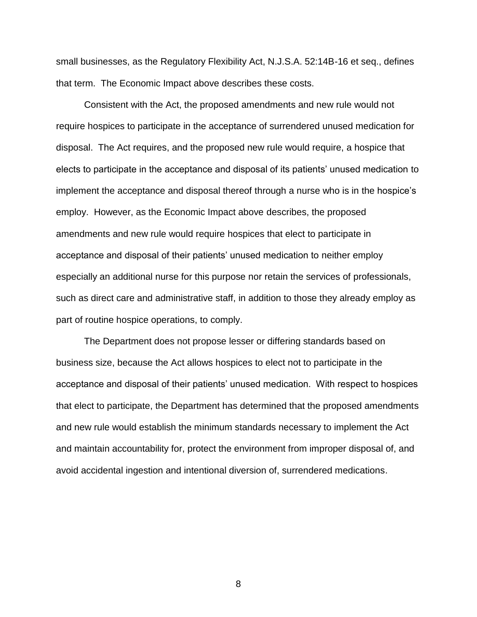small businesses, as the Regulatory Flexibility Act, N.J.S.A. 52:14B-16 et seq., defines that term. The Economic Impact above describes these costs.

Consistent with the Act, the proposed amendments and new rule would not require hospices to participate in the acceptance of surrendered unused medication for disposal. The Act requires, and the proposed new rule would require, a hospice that elects to participate in the acceptance and disposal of its patients' unused medication to implement the acceptance and disposal thereof through a nurse who is in the hospice's employ. However, as the Economic Impact above describes, the proposed amendments and new rule would require hospices that elect to participate in acceptance and disposal of their patients' unused medication to neither employ especially an additional nurse for this purpose nor retain the services of professionals, such as direct care and administrative staff, in addition to those they already employ as part of routine hospice operations, to comply.

The Department does not propose lesser or differing standards based on business size, because the Act allows hospices to elect not to participate in the acceptance and disposal of their patients' unused medication. With respect to hospices that elect to participate, the Department has determined that the proposed amendments and new rule would establish the minimum standards necessary to implement the Act and maintain accountability for, protect the environment from improper disposal of, and avoid accidental ingestion and intentional diversion of, surrendered medications.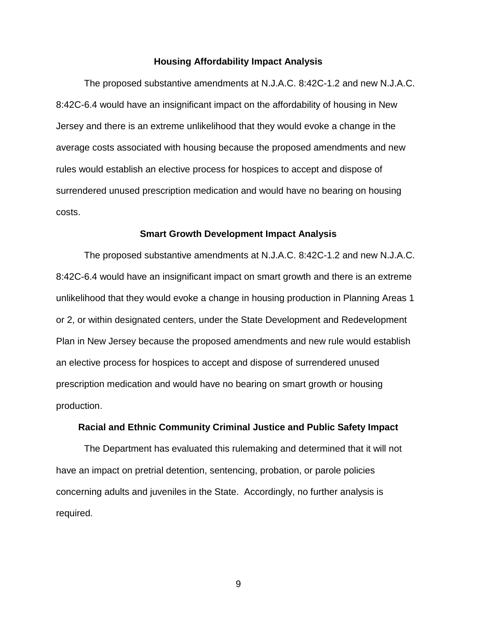#### **Housing Affordability Impact Analysis**

The proposed substantive amendments at N.J.A.C. 8:42C-1.2 and new N.J.A.C. 8:42C-6.4 would have an insignificant impact on the affordability of housing in New Jersey and there is an extreme unlikelihood that they would evoke a change in the average costs associated with housing because the proposed amendments and new rules would establish an elective process for hospices to accept and dispose of surrendered unused prescription medication and would have no bearing on housing costs.

#### **Smart Growth Development Impact Analysis**

The proposed substantive amendments at N.J.A.C. 8:42C-1.2 and new N.J.A.C. 8:42C-6.4 would have an insignificant impact on smart growth and there is an extreme unlikelihood that they would evoke a change in housing production in Planning Areas 1 or 2, or within designated centers, under the State Development and Redevelopment Plan in New Jersey because the proposed amendments and new rule would establish an elective process for hospices to accept and dispose of surrendered unused prescription medication and would have no bearing on smart growth or housing production.

#### **Racial and Ethnic Community Criminal Justice and Public Safety Impact**

The Department has evaluated this rulemaking and determined that it will not have an impact on pretrial detention, sentencing, probation, or parole policies concerning adults and juveniles in the State. Accordingly, no further analysis is required.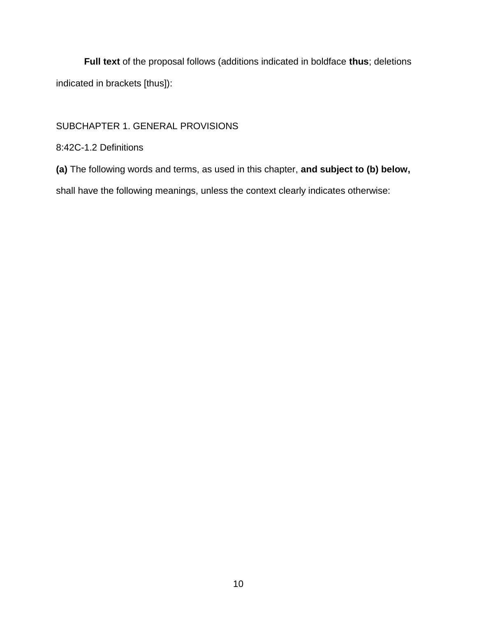**Full text** of the proposal follows (additions indicated in boldface **thus**; deletions indicated in brackets [thus]):

# SUBCHAPTER 1. GENERAL PROVISIONS

# 8:42C-1.2 Definitions

**(a)** The following words and terms, as used in this chapter, **and subject to (b) below,** 

shall have the following meanings, unless the context clearly indicates otherwise: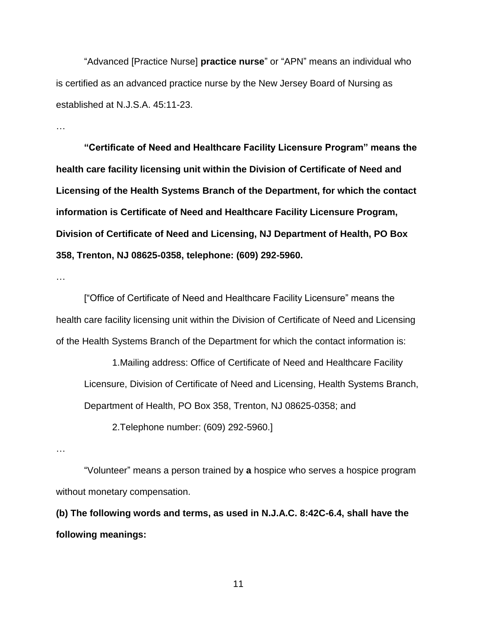"Advanced [Practice Nurse] **practice nurse**" or "APN" means an individual who is certified as an advanced practice nurse by the New Jersey Board of Nursing as established at N.J.S.A. 45:11-23.

…

**"Certificate of Need and Healthcare Facility Licensure Program" means the health care facility licensing unit within the Division of Certificate of Need and Licensing of the Health Systems Branch of the Department, for which the contact information is Certificate of Need and Healthcare Facility Licensure Program, Division of Certificate of Need and Licensing, NJ Department of Health, PO Box 358, Trenton, NJ 08625-0358, telephone: (609) 292-5960.**

…

["Office of Certificate of Need and Healthcare Facility Licensure" means the health care facility licensing unit within the Division of Certificate of Need and Licensing of the Health Systems Branch of the Department for which the contact information is:

1.Mailing address: Office of Certificate of Need and Healthcare Facility Licensure, Division of Certificate of Need and Licensing, Health Systems Branch, Department of Health, PO Box 358, Trenton, NJ 08625-0358; and

2.Telephone number: (609) 292-5960.]

…

"Volunteer" means a person trained by **a** hospice who serves a hospice program without monetary compensation.

**(b) The following words and terms, as used in N.J.A.C. 8:42C-6.4, shall have the following meanings:**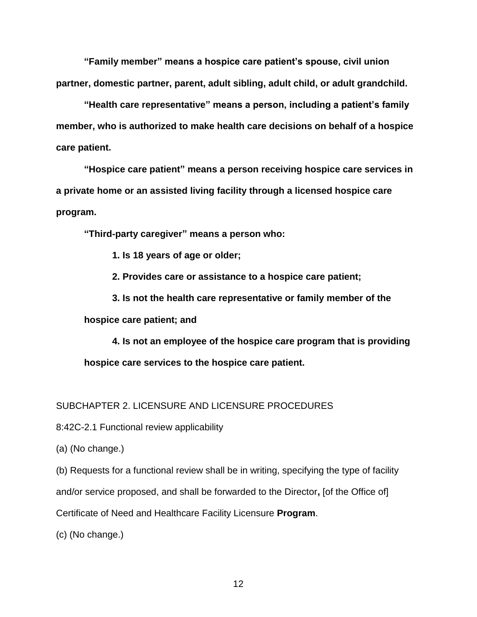**"Family member" means a hospice care patient's spouse, civil union partner, domestic partner, parent, adult sibling, adult child, or adult grandchild.**

**"Health care representative" means a person, including a patient's family member, who is authorized to make health care decisions on behalf of a hospice care patient.**

**"Hospice care patient" means a person receiving hospice care services in a private home or an assisted living facility through a licensed hospice care program.**

**"Third-party caregiver" means a person who:**

**1. Is 18 years of age or older;**

**2. Provides care or assistance to a hospice care patient;**

**3. Is not the health care representative or family member of the hospice care patient; and**

**4. Is not an employee of the hospice care program that is providing hospice care services to the hospice care patient.**

# SUBCHAPTER 2. LICENSURE AND LICENSURE PROCEDURES

8:42C-2.1 Functional review applicability

(a) (No change.)

(b) Requests for a functional review shall be in writing, specifying the type of facility

and/or service proposed, and shall be forwarded to the Director**,** [of the Office of]

Certificate of Need and Healthcare Facility Licensure **Program**.

(c) (No change.)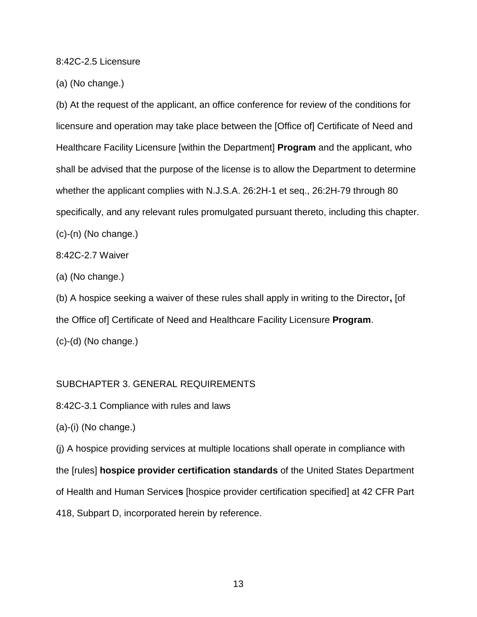## 8:42C-2.5 Licensure

(a) (No change.)

(b) At the request of the applicant, an office conference for review of the conditions for licensure and operation may take place between the [Office of] Certificate of Need and Healthcare Facility Licensure [within the Department] **Program** and the applicant, who shall be advised that the purpose of the license is to allow the Department to determine whether the applicant complies with N.J.S.A. 26:2H-1 et seq., 26:2H-79 through 80 specifically, and any relevant rules promulgated pursuant thereto, including this chapter. (c)-(n) (No change.)

8:42C-2.7 Waiver

(a) (No change.)

(b) A hospice seeking a waiver of these rules shall apply in writing to the Director**,** [of the Office of] Certificate of Need and Healthcare Facility Licensure **Program**.

(c)-(d) (No change.)

## SUBCHAPTER 3. GENERAL REQUIREMENTS

8:42C-3.1 Compliance with rules and laws

(a)-(i) (No change.)

(j) A hospice providing services at multiple locations shall operate in compliance with the [rules] **hospice provider certification standards** of the United States Department of Health and Human Service**s** [hospice provider certification specified] at 42 CFR Part 418, Subpart D, incorporated herein by reference.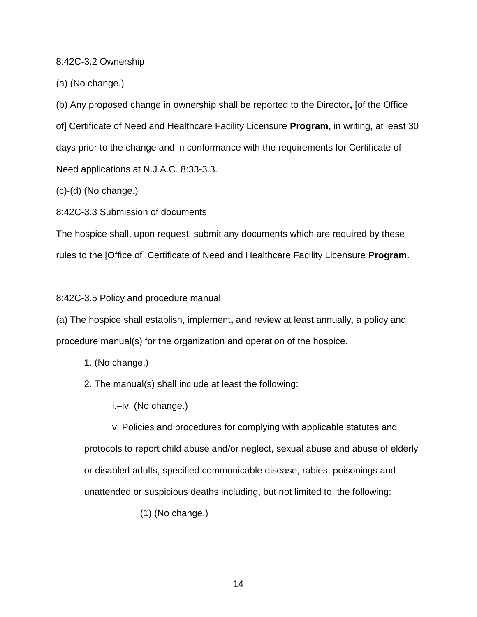## 8:42C-3.2 Ownership

(a) (No change.)

(b) Any proposed change in ownership shall be reported to the Director**,** [of the Office of] Certificate of Need and Healthcare Facility Licensure **Program,** in writing**,** at least 30 days prior to the change and in conformance with the requirements for Certificate of Need applications at N.J.A.C. 8:33-3.3.

(c)-(d) (No change.)

8:42C-3.3 Submission of documents

The hospice shall, upon request, submit any documents which are required by these rules to the [Office of] Certificate of Need and Healthcare Facility Licensure **Program**.

## 8:42C-3.5 Policy and procedure manual

(a) The hospice shall establish, implement**,** and review at least annually, a policy and procedure manual(s) for the organization and operation of the hospice.

- 1. (No change.)
- 2. The manual(s) shall include at least the following:

i.–iv. (No change.)

v. Policies and procedures for complying with applicable statutes and protocols to report child abuse and/or neglect, sexual abuse and abuse of elderly or disabled adults, specified communicable disease, rabies, poisonings and unattended or suspicious deaths including, but not limited to, the following:

(1) (No change.)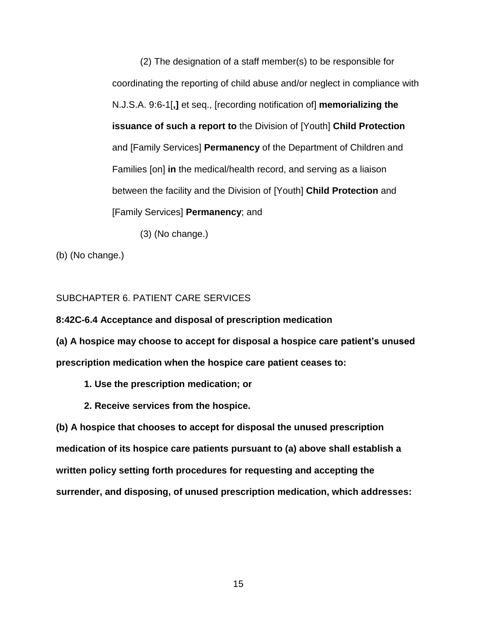(2) The designation of a staff member(s) to be responsible for coordinating the reporting of child abuse and/or neglect in compliance with N.J.S.A. 9:6-1[**,]** et seq., [recording notification of] **memorializing the issuance of such a report to** the Division of [Youth] **Child Protection** and [Family Services] **Permanency** of the Department of Children and Families [on] **in** the medical/health record, and serving as a liaison between the facility and the Division of [Youth] **Child Protection** and [Family Services] **Permanency**; and

(3) (No change.)

(b) (No change.)

# SUBCHAPTER 6. PATIENT CARE SERVICES

**8:42C-6.4 Acceptance and disposal of prescription medication**

**(a) A hospice may choose to accept for disposal a hospice care patient's unused prescription medication when the hospice care patient ceases to:**

- **1. Use the prescription medication; or**
- **2. Receive services from the hospice.**

**(b) A hospice that chooses to accept for disposal the unused prescription medication of its hospice care patients pursuant to (a) above shall establish a written policy setting forth procedures for requesting and accepting the surrender, and disposing, of unused prescription medication, which addresses:**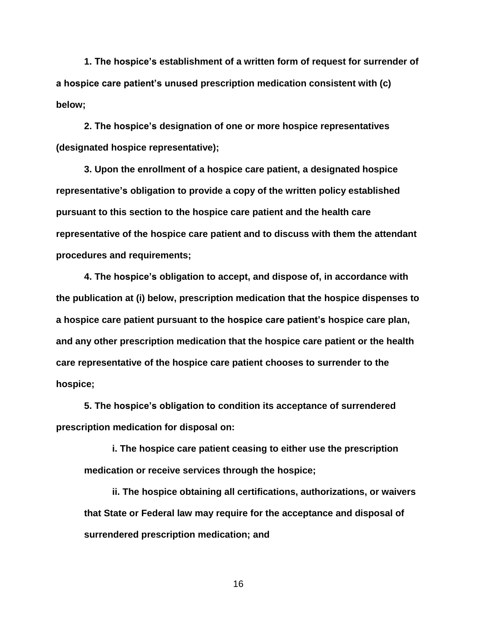**1. The hospice's establishment of a written form of request for surrender of a hospice care patient's unused prescription medication consistent with (c) below;**

**2. The hospice's designation of one or more hospice representatives (designated hospice representative);**

**3. Upon the enrollment of a hospice care patient, a designated hospice representative's obligation to provide a copy of the written policy established pursuant to this section to the hospice care patient and the health care representative of the hospice care patient and to discuss with them the attendant procedures and requirements;**

**4. The hospice's obligation to accept, and dispose of, in accordance with the publication at (i) below, prescription medication that the hospice dispenses to a hospice care patient pursuant to the hospice care patient's hospice care plan, and any other prescription medication that the hospice care patient or the health care representative of the hospice care patient chooses to surrender to the hospice;**

**5. The hospice's obligation to condition its acceptance of surrendered prescription medication for disposal on:**

**i. The hospice care patient ceasing to either use the prescription medication or receive services through the hospice;**

**ii. The hospice obtaining all certifications, authorizations, or waivers that State or Federal law may require for the acceptance and disposal of surrendered prescription medication; and**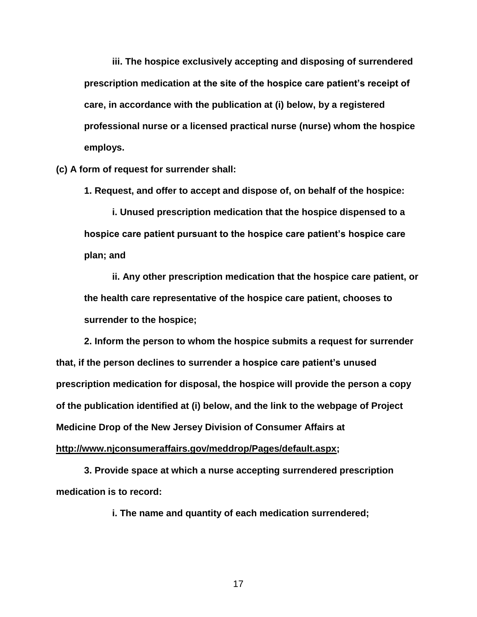**iii. The hospice exclusively accepting and disposing of surrendered prescription medication at the site of the hospice care patient's receipt of care, in accordance with the publication at (i) below, by a registered professional nurse or a licensed practical nurse (nurse) whom the hospice employs.**

**(c) A form of request for surrender shall:**

**1. Request, and offer to accept and dispose of, on behalf of the hospice:**

**i. Unused prescription medication that the hospice dispensed to a hospice care patient pursuant to the hospice care patient's hospice care plan; and**

**ii. Any other prescription medication that the hospice care patient, or the health care representative of the hospice care patient, chooses to surrender to the hospice;**

**2. Inform the person to whom the hospice submits a request for surrender that, if the person declines to surrender a hospice care patient's unused prescription medication for disposal, the hospice will provide the person a copy of the publication identified at (i) below, and the link to the webpage of Project Medicine Drop of the New Jersey Division of Consumer Affairs at [http://www.njconsumeraffairs.gov/meddrop/Pages/default.aspx;](http://www.njconsumeraffairs.gov/meddrop/Pages/default.aspx)**

**3. Provide space at which a nurse accepting surrendered prescription medication is to record:**

**i. The name and quantity of each medication surrendered;**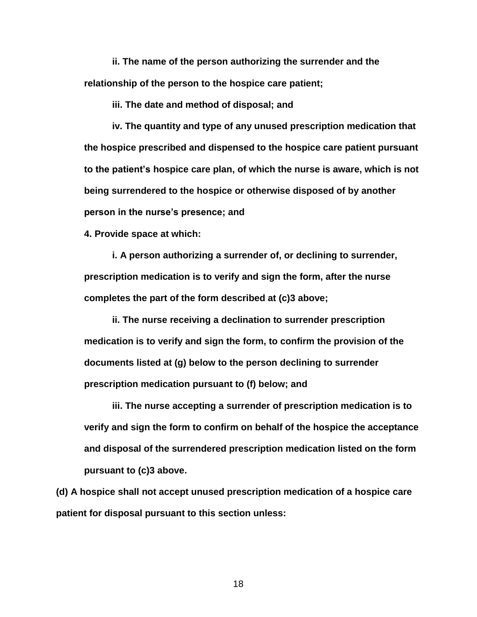**ii. The name of the person authorizing the surrender and the relationship of the person to the hospice care patient;**

**iii. The date and method of disposal; and**

**iv. The quantity and type of any unused prescription medication that the hospice prescribed and dispensed to the hospice care patient pursuant to the patient's hospice care plan, of which the nurse is aware, which is not being surrendered to the hospice or otherwise disposed of by another person in the nurse's presence; and**

**4. Provide space at which:**

**i. A person authorizing a surrender of, or declining to surrender, prescription medication is to verify and sign the form, after the nurse completes the part of the form described at (c)3 above;**

**ii. The nurse receiving a declination to surrender prescription medication is to verify and sign the form, to confirm the provision of the documents listed at (g) below to the person declining to surrender prescription medication pursuant to (f) below; and**

**iii. The nurse accepting a surrender of prescription medication is to verify and sign the form to confirm on behalf of the hospice the acceptance and disposal of the surrendered prescription medication listed on the form pursuant to (c)3 above.**

**(d) A hospice shall not accept unused prescription medication of a hospice care patient for disposal pursuant to this section unless:**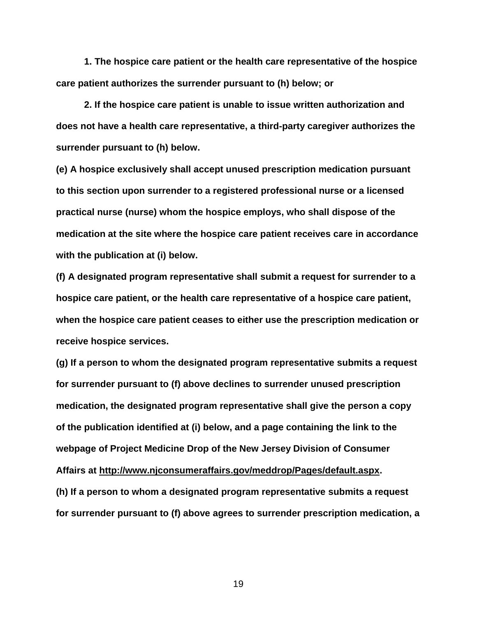**1. The hospice care patient or the health care representative of the hospice care patient authorizes the surrender pursuant to (h) below; or**

**2. If the hospice care patient is unable to issue written authorization and does not have a health care representative, a third-party caregiver authorizes the surrender pursuant to (h) below.**

**(e) A hospice exclusively shall accept unused prescription medication pursuant to this section upon surrender to a registered professional nurse or a licensed practical nurse (nurse) whom the hospice employs, who shall dispose of the medication at the site where the hospice care patient receives care in accordance with the publication at (i) below.**

**(f) A designated program representative shall submit a request for surrender to a hospice care patient, or the health care representative of a hospice care patient, when the hospice care patient ceases to either use the prescription medication or receive hospice services.**

**(g) If a person to whom the designated program representative submits a request for surrender pursuant to (f) above declines to surrender unused prescription medication, the designated program representative shall give the person a copy of the publication identified at (i) below, and a page containing the link to the webpage of Project Medicine Drop of the New Jersey Division of Consumer Affairs at [http://www.njconsumeraffairs.gov/meddrop/Pages/default.aspx.](http://www.njconsumeraffairs.gov/meddrop/Pages/default.aspx)**

**(h) If a person to whom a designated program representative submits a request for surrender pursuant to (f) above agrees to surrender prescription medication, a**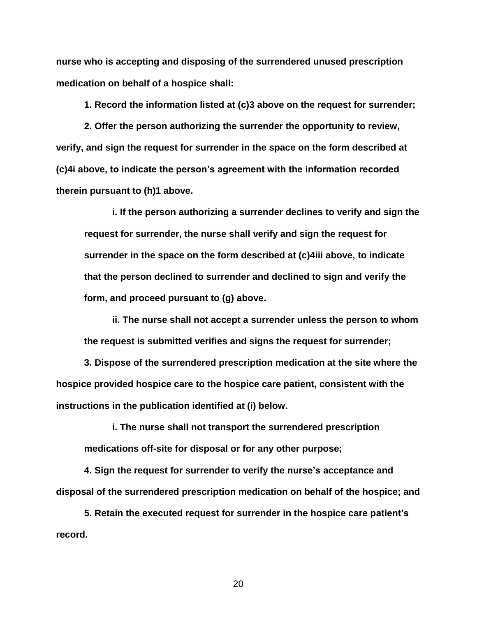**nurse who is accepting and disposing of the surrendered unused prescription medication on behalf of a hospice shall:**

**1. Record the information listed at (c)3 above on the request for surrender;**

**2. Offer the person authorizing the surrender the opportunity to review, verify, and sign the request for surrender in the space on the form described at (c)4i above, to indicate the person's agreement with the information recorded therein pursuant to (h)1 above.**

**i. If the person authorizing a surrender declines to verify and sign the request for surrender, the nurse shall verify and sign the request for surrender in the space on the form described at (c)4iii above, to indicate that the person declined to surrender and declined to sign and verify the form, and proceed pursuant to (g) above.**

**ii. The nurse shall not accept a surrender unless the person to whom the request is submitted verifies and signs the request for surrender;**

**3. Dispose of the surrendered prescription medication at the site where the hospice provided hospice care to the hospice care patient, consistent with the instructions in the publication identified at (i) below.**

**i. The nurse shall not transport the surrendered prescription medications off-site for disposal or for any other purpose;**

**4. Sign the request for surrender to verify the nurse's acceptance and disposal of the surrendered prescription medication on behalf of the hospice; and**

**5. Retain the executed request for surrender in the hospice care patient's record.**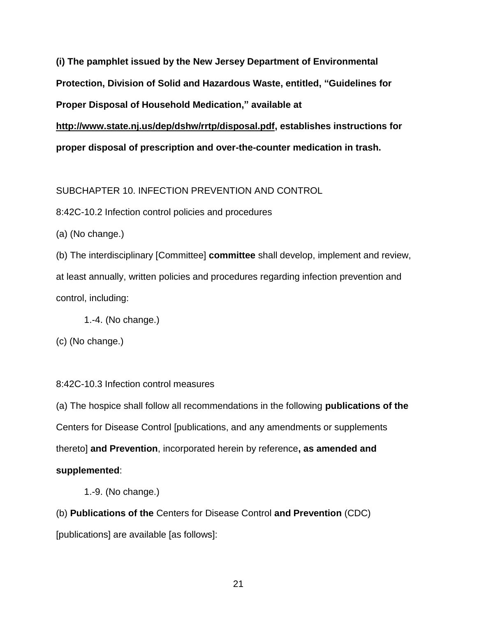**(i) The pamphlet issued by the New Jersey Department of Environmental Protection, Division of Solid and Hazardous Waste, entitled, "Guidelines for Proper Disposal of Household Medication," available at [http://www.state.nj.us/dep/dshw/rrtp/disposal.pdf,](http://www.state.nj.us/dep/dshw/rrtp/disposal.pdf) establishes instructions for proper disposal of prescription and over-the-counter medication in trash.**

SUBCHAPTER 10. INFECTION PREVENTION AND CONTROL

8:42C-10.2 Infection control policies and procedures

(a) (No change.)

(b) The interdisciplinary [Committee] **committee** shall develop, implement and review, at least annually, written policies and procedures regarding infection prevention and control, including:

1.-4. (No change.)

(c) (No change.)

8:42C-10.3 Infection control measures

(a) The hospice shall follow all recommendations in the following **publications of the**  Centers for Disease Control [publications, and any amendments or supplements thereto] **and Prevention**, incorporated herein by reference**, as amended and supplemented**:

1.-9. (No change.)

(b) **Publications of the** Centers for Disease Control **and Prevention** (CDC)

[publications] are available [as follows]: